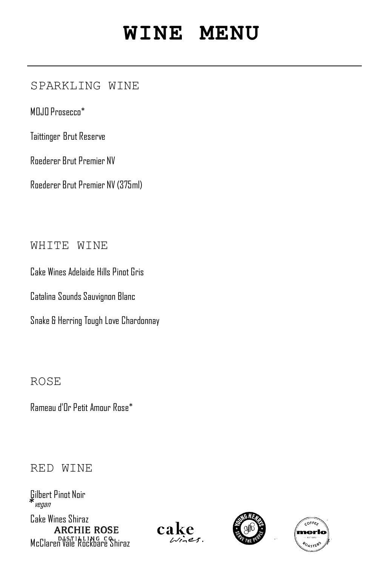# **WINE MENU**

## SPARKLING WINE

MOJO Prosecco<sup>\*</sup>

Taittinger Brut Reserve

Roederer Brut Premier NV

Roederer Brut Premier NV (375ml)

WHITE WINE

Cake Wines Adelaide Hills Pinnt Gris

Catalina Sounds Sauvignon Blanc

Snake & Herring Tough Love Chardonnay

ROSE

Rameau d'Or Petit Amour Rose\*

## RED WINE

Gilbert Pinot Noir 12 44 *\** vegan

Cake Wines Shiraz 10 40 **ARCHIE ROSE** McClaren Vale Rockbare Shiraz 2007.





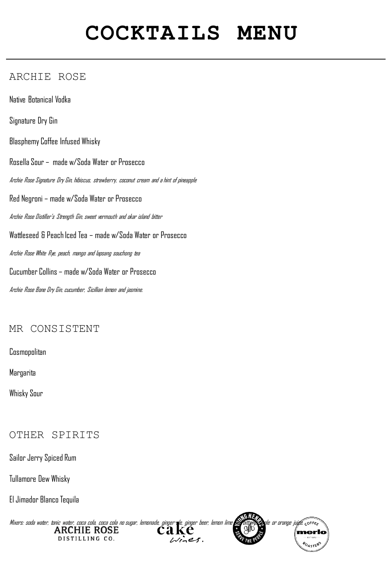# **COCKTAILS MENU**

### ARCHIE ROSE

Native Botanical Vodka Signature Dry Gin Blasphemy Coffee Infused Whisky Rosella Sour – made w/Soda Water or Prosecco Archie Rose Signature Dry Gin, hibiscus, strawberry, coconut cream and a hint of pineapple Red Negroni – made w/Soda Water or Prosecco Archie Rose Distiller's Strength Gin, sweet vermouth and okar island bitter Wattleseed & Peach Iced Tea – made w/Soda Water or Prosecco Archie Rose White Rye, peach, mango and lapsang souchong tea Cucumber Collins – made w/Soda Water or Prosecco Archie Rose Bone Dry Gin, cucumber, Sicillian lemon and jasmine.

### MR CONSISTENT

**Cosmopolitan** 

Margarita

Whisky Sour

#### OTHER SPIRITS

Sailor Jerry Spiced Rum

Tullamore Dew Whisky

El Jimador Blanco Tequila

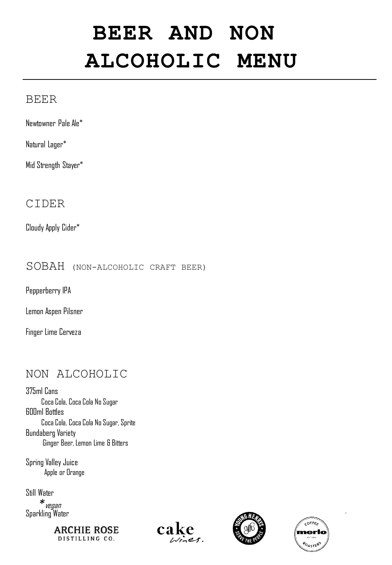# **BEER AND NON ALCOHOLIC MENU**

### BEER

Newtowner Pale Ale\*

Natural Lager\*

Mid Strength Stayer\*

### CIDER

Cloudy Apply Cider\* 9

SOBAH (NON-ALCOHOLIC CRAFT BEER)

Pepperberry IPA

Lemon Aspen Pilsner

Finger Lime Cerveza

## NON ALCOHOLIC

375ml Cans Coca Cola, Coca Cola No Sugar 3 600ml Bottles Coca Cola, Coca Cola No Sugar, Sprite Bundaberg Variety Ginger Beer, Lemon Lime & Bitters

Spring Valley Juice Apple or Orange

Still Water 4 Sparkling Water 4 *\** vegan